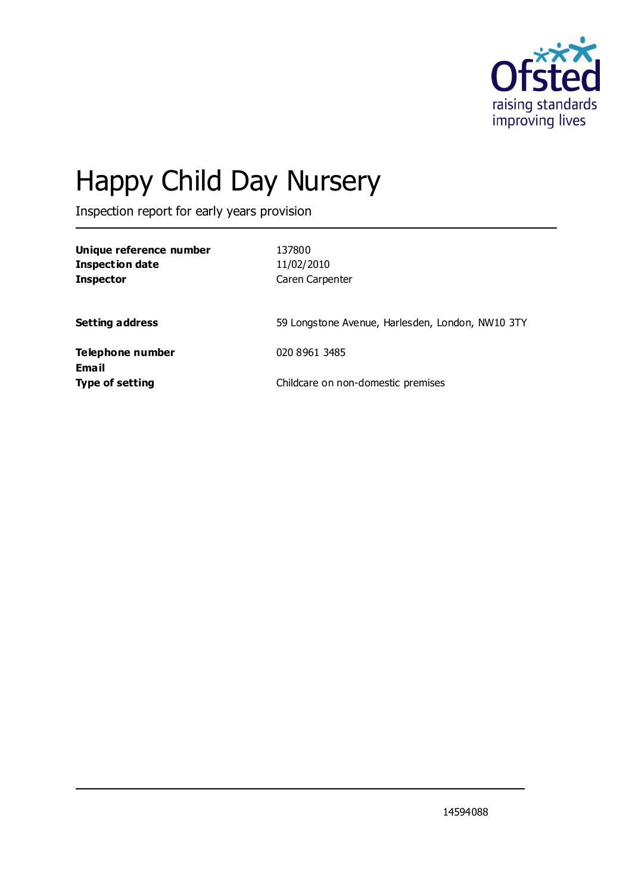

# Happy Child Day Nursery

Inspection report for early years provision

| Unique reference number<br><b>Inspection date</b><br><b>Inspector</b> | 137800<br>11/02/2010<br>Caren Carpenter          |
|-----------------------------------------------------------------------|--------------------------------------------------|
| <b>Setting address</b>                                                | 59 Longstone Avenue, Harlesden, London, NW10 3TY |
| Telephone number                                                      | 020 8961 3485                                    |
| Email<br><b>Type of setting</b>                                       | Childcare on non-domestic premises               |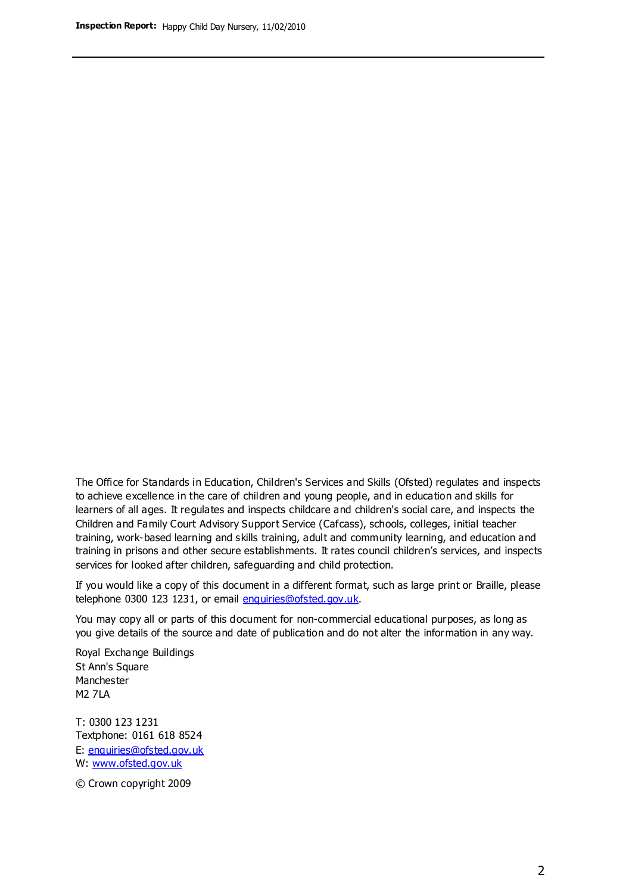The Office for Standards in Education, Children's Services and Skills (Ofsted) regulates and inspects to achieve excellence in the care of children and young people, and in education and skills for learners of all ages. It regulates and inspects childcare and children's social care, and inspects the Children and Family Court Advisory Support Service (Cafcass), schools, colleges, initial teacher training, work-based learning and skills training, adult and community learning, and education and training in prisons and other secure establishments. It rates council children's services, and inspects services for looked after children, safeguarding and child protection.

If you would like a copy of this document in a different format, such as large print or Braille, please telephone 0300 123 1231, or email enquiries@ofsted.gov.uk.

You may copy all or parts of this document for non-commercial educational purposes, as long as you give details of the source and date of publication and do not alter the information in any way.

Royal Exchange Buildings St Ann's Square Manchester M2 7LA

T: 0300 123 1231 Textphone: 0161 618 8524 E: enquiries@ofsted.gov.uk W: [www.ofsted.gov.uk](http://www.ofsted.gov.uk/)

© Crown copyright 2009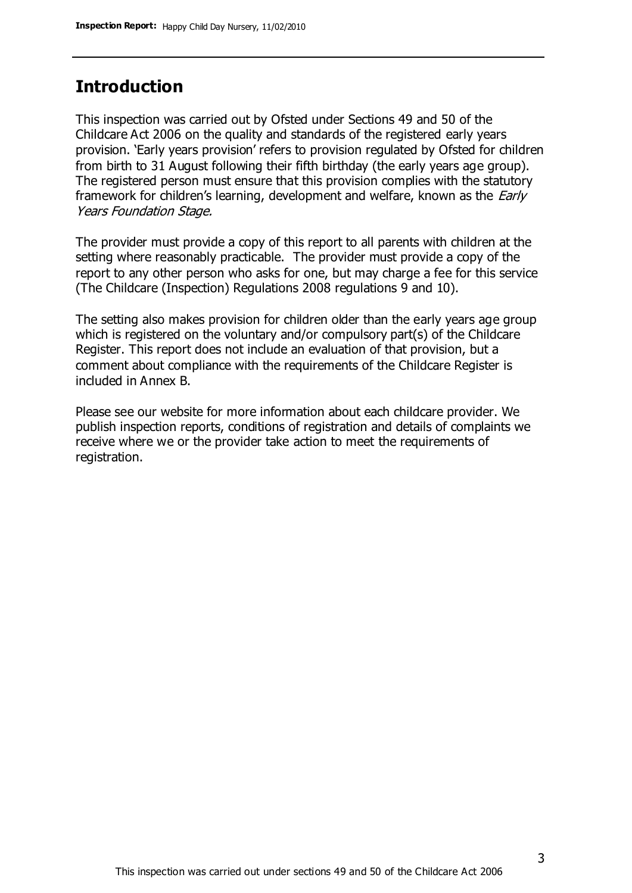## **Introduction**

This inspection was carried out by Ofsted under Sections 49 and 50 of the Childcare Act 2006 on the quality and standards of the registered early years provision. 'Early years provision' refers to provision regulated by Ofsted for children from birth to 31 August following their fifth birthday (the early years age group). The registered person must ensure that this provision complies with the statutory framework for children's learning, development and welfare, known as the *Early* Years Foundation Stage.

The provider must provide a copy of this report to all parents with children at the setting where reasonably practicable. The provider must provide a copy of the report to any other person who asks for one, but may charge a fee for this service (The Childcare (Inspection) Regulations 2008 regulations 9 and 10).

The setting also makes provision for children older than the early years age group which is registered on the voluntary and/or compulsory part(s) of the Childcare Register. This report does not include an evaluation of that provision, but a comment about compliance with the requirements of the Childcare Register is included in Annex B.

Please see our website for more information about each childcare provider. We publish inspection reports, conditions of registration and details of complaints we receive where we or the provider take action to meet the requirements of registration.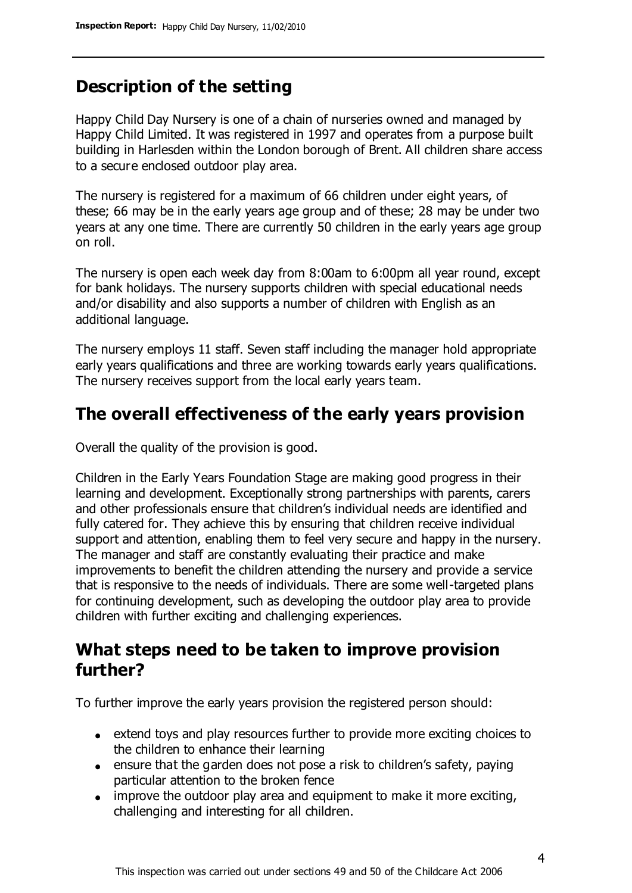# **Description of the setting**

Happy Child Day Nursery is one of a chain of nurseries owned and managed by Happy Child Limited. It was registered in 1997 and operates from a purpose built building in Harlesden within the London borough of Brent. All children share access to a secure enclosed outdoor play area.

The nursery is registered for a maximum of 66 children under eight years, of these; 66 may be in the early years age group and of these; 28 may be under two years at any one time. There are currently 50 children in the early years age group on roll.

The nursery is open each week day from 8:00am to 6:00pm all year round, except for bank holidays. The nursery supports children with special educational needs and/or disability and also supports a number of children with English as an additional language.

The nursery employs 11 staff. Seven staff including the manager hold appropriate early years qualifications and three are working towards early years qualifications. The nursery receives support from the local early years team.

## **The overall effectiveness of the early years provision**

Overall the quality of the provision is good.

Children in the Early Years Foundation Stage are making good progress in their learning and development. Exceptionally strong partnerships with parents, carers and other professionals ensure that children's individual needs are identified and fully catered for. They achieve this by ensuring that children receive individual support and attention, enabling them to feel very secure and happy in the nursery. The manager and staff are constantly evaluating their practice and make improvements to benefit the children attending the nursery and provide a service that is responsive to the needs of individuals. There are some well-targeted plans for continuing development, such as developing the outdoor play area to provide children with further exciting and challenging experiences.

## **What steps need to be taken to improve provision further?**

To further improve the early years provision the registered person should:

- extend toys and play resources further to provide more exciting choices to the children to enhance their learning
- ensure that the garden does not pose a risk to children's safety, paying particular attention to the broken fence
- improve the outdoor play area and equipment to make it more exciting, challenging and interesting for all children.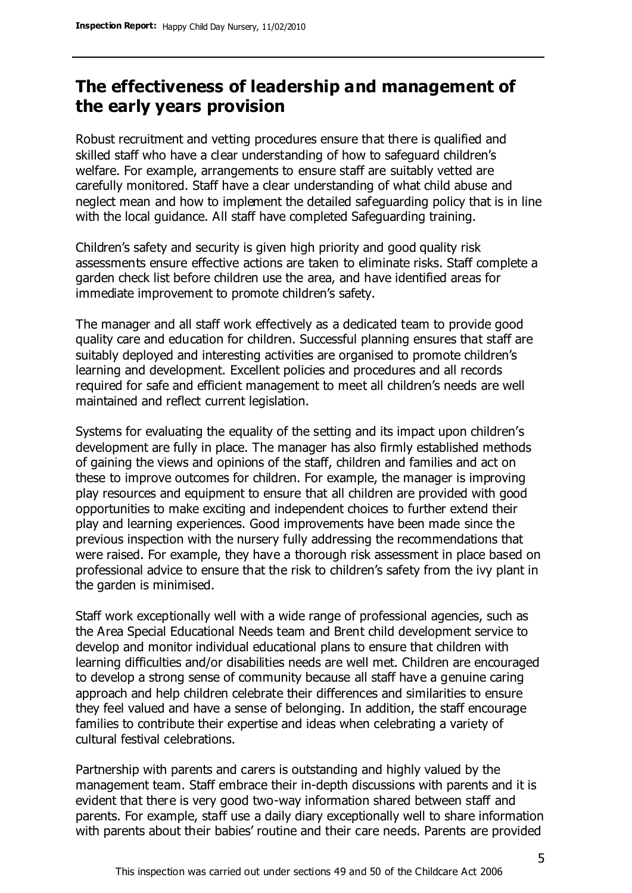## **The effectiveness of leadership and management of the early years provision**

Robust recruitment and vetting procedures ensure that there is qualified and skilled staff who have a clear understanding of how to safeguard children's welfare. For example, arrangements to ensure staff are suitably vetted are carefully monitored. Staff have a clear understanding of what child abuse and neglect mean and how to implement the detailed safeguarding policy that is in line with the local guidance. All staff have completed Safeguarding training.

Children's safety and security is given high priority and good quality risk assessments ensure effective actions are taken to eliminate risks. Staff complete a garden check list before children use the area, and have identified areas for immediate improvement to promote children's safety.

The manager and all staff work effectively as a dedicated team to provide good quality care and education for children. Successful planning ensures that staff are suitably deployed and interesting activities are organised to promote children's learning and development. Excellent policies and procedures and all records required for safe and efficient management to meet all children's needs are well maintained and reflect current legislation.

Systems for evaluating the equality of the setting and its impact upon children's development are fully in place. The manager has also firmly established methods of gaining the views and opinions of the staff, children and families and act on these to improve outcomes for children. For example, the manager is improving play resources and equipment to ensure that all children are provided with good opportunities to make exciting and independent choices to further extend their play and learning experiences. Good improvements have been made since the previous inspection with the nursery fully addressing the recommendations that were raised. For example, they have a thorough risk assessment in place based on professional advice to ensure that the risk to children's safety from the ivy plant in the garden is minimised.

Staff work exceptionally well with a wide range of professional agencies, such as the Area Special Educational Needs team and Brent child development service to develop and monitor individual educational plans to ensure that children with learning difficulties and/or disabilities needs are well met. Children are encouraged to develop a strong sense of community because all staff have a genuine caring approach and help children celebrate their differences and similarities to ensure they feel valued and have a sense of belonging. In addition, the staff encourage families to contribute their expertise and ideas when celebrating a variety of cultural festival celebrations.

Partnership with parents and carers is outstanding and highly valued by the management team. Staff embrace their in-depth discussions with parents and it is evident that there is very good two-way information shared between staff and parents. For example, staff use a daily diary exceptionally well to share information with parents about their babies' routine and their care needs. Parents are provided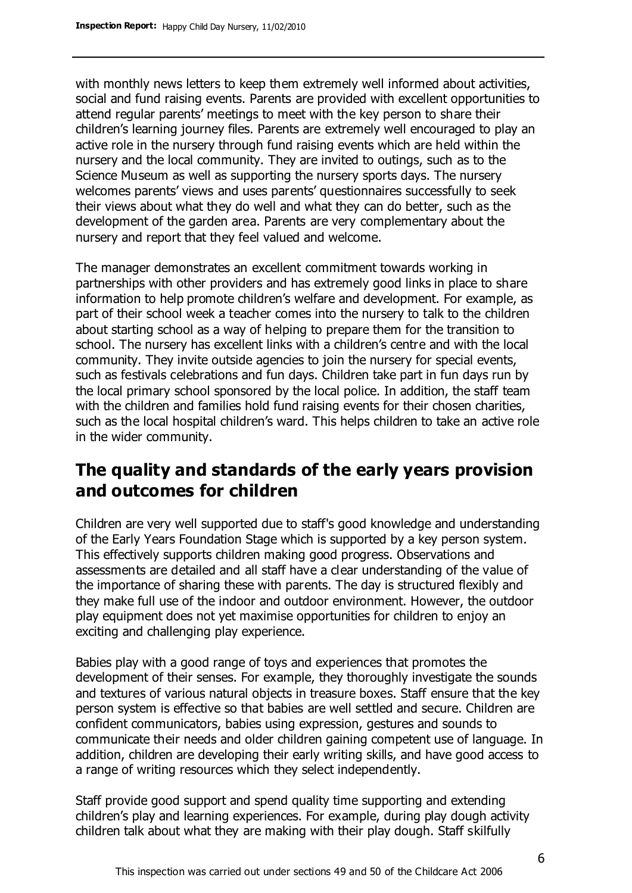with monthly news letters to keep them extremely well informed about activities, social and fund raising events. Parents are provided with excellent opportunities to attend regular parents' meetings to meet with the key person to share their children's learning journey files. Parents are extremely well encouraged to play an active role in the nursery through fund raising events which are held within the nursery and the local community. They are invited to outings, such as to the Science Museum as well as supporting the nursery sports days. The nursery welcomes parents' views and uses parents' questionnaires successfully to seek their views about what they do well and what they can do better, such as the development of the garden area. Parents are very complementary about the nursery and report that they feel valued and welcome.

The manager demonstrates an excellent commitment towards working in partnerships with other providers and has extremely good links in place to share information to help promote children's welfare and development. For example, as part of their school week a teacher comes into the nursery to talk to the children about starting school as a way of helping to prepare them for the transition to school. The nursery has excellent links with a children's centre and with the local community. They invite outside agencies to join the nursery for special events, such as festivals celebrations and fun days. Children take part in fun days run by the local primary school sponsored by the local police. In addition, the staff team with the children and families hold fund raising events for their chosen charities, such as the local hospital children's ward. This helps children to take an active role in the wider community.

## **The quality and standards of the early years provision and outcomes for children**

Children are very well supported due to staff's good knowledge and understanding of the Early Years Foundation Stage which is supported by a key person system. This effectively supports children making good progress. Observations and assessments are detailed and all staff have a clear understanding of the value of the importance of sharing these with parents. The day is structured flexibly and they make full use of the indoor and outdoor environment. However, the outdoor play equipment does not yet maximise opportunities for children to enjoy an exciting and challenging play experience.

Babies play with a good range of toys and experiences that promotes the development of their senses. For example, they thoroughly investigate the sounds and textures of various natural objects in treasure boxes. Staff ensure that the key person system is effective so that babies are well settled and secure. Children are confident communicators, babies using expression, gestures and sounds to communicate their needs and older children gaining competent use of language. In addition, children are developing their early writing skills, and have good access to a range of writing resources which they select independently.

Staff provide good support and spend quality time supporting and extending children's play and learning experiences. For example, during play dough activity children talk about what they are making with their play dough. Staff skilfully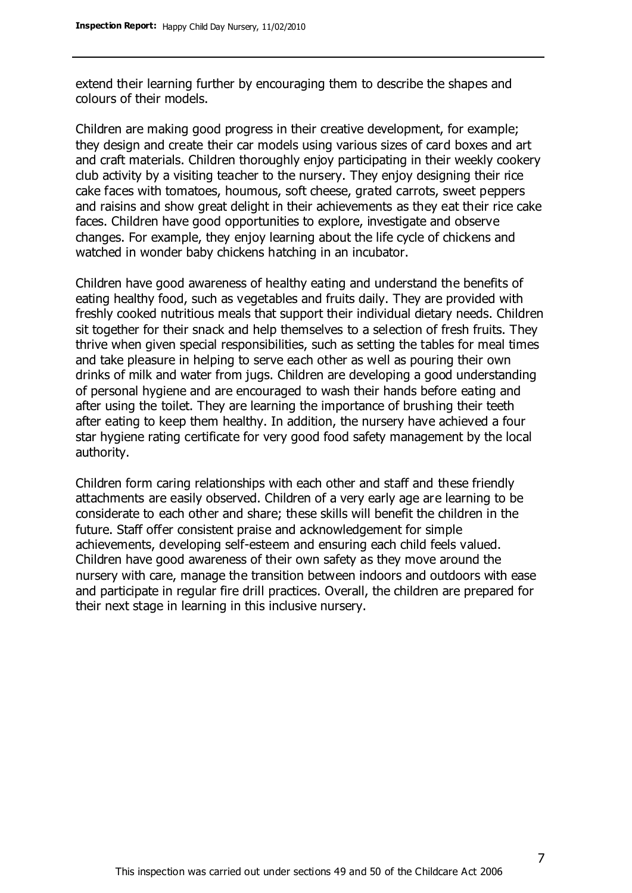extend their learning further by encouraging them to describe the shapes and colours of their models.

Children are making good progress in their creative development, for example; they design and create their car models using various sizes of card boxes and art and craft materials. Children thoroughly enjoy participating in their weekly cookery club activity by a visiting teacher to the nursery. They enjoy designing their rice cake faces with tomatoes, houmous, soft cheese, grated carrots, sweet peppers and raisins and show great delight in their achievements as they eat their rice cake faces. Children have good opportunities to explore, investigate and observe changes. For example, they enjoy learning about the life cycle of chickens and watched in wonder baby chickens hatching in an incubator.

Children have good awareness of healthy eating and understand the benefits of eating healthy food, such as vegetables and fruits daily. They are provided with freshly cooked nutritious meals that support their individual dietary needs. Children sit together for their snack and help themselves to a selection of fresh fruits. They thrive when given special responsibilities, such as setting the tables for meal times and take pleasure in helping to serve each other as well as pouring their own drinks of milk and water from jugs. Children are developing a good understanding of personal hygiene and are encouraged to wash their hands before eating and after using the toilet. They are learning the importance of brushing their teeth after eating to keep them healthy. In addition, the nursery have achieved a four star hygiene rating certificate for very good food safety management by the local authority.

Children form caring relationships with each other and staff and these friendly attachments are easily observed. Children of a very early age are learning to be considerate to each other and share; these skills will benefit the children in the future. Staff offer consistent praise and acknowledgement for simple achievements, developing self-esteem and ensuring each child feels valued. Children have good awareness of their own safety as they move around the nursery with care, manage the transition between indoors and outdoors with ease and participate in regular fire drill practices. Overall, the children are prepared for their next stage in learning in this inclusive nursery.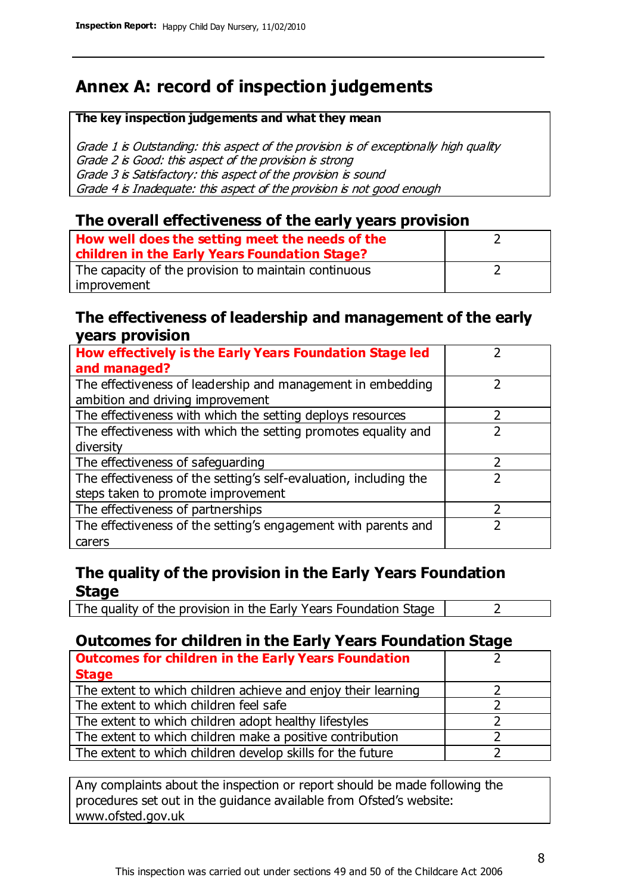# **Annex A: record of inspection judgements**

#### **The key inspection judgements and what they mean**

Grade 1 is Outstanding: this aspect of the provision is of exceptionally high quality Grade 2 is Good: this aspect of the provision is strong Grade 3 is Satisfactory: this aspect of the provision is sound Grade 4 is Inadequate: this aspect of the provision is not good enough

#### **The overall effectiveness of the early years provision**

| How well does the setting meet the needs of the<br>children in the Early Years Foundation Stage? |  |
|--------------------------------------------------------------------------------------------------|--|
| The capacity of the provision to maintain continuous                                             |  |
| improvement                                                                                      |  |

#### **The effectiveness of leadership and management of the early years provision**

| How effectively is the Early Years Foundation Stage led                                         |   |
|-------------------------------------------------------------------------------------------------|---|
| and managed?                                                                                    |   |
| The effectiveness of leadership and management in embedding<br>ambition and driving improvement |   |
| The effectiveness with which the setting deploys resources                                      |   |
| The effectiveness with which the setting promotes equality and                                  |   |
| diversity                                                                                       |   |
| The effectiveness of safeguarding                                                               | フ |
| The effectiveness of the setting's self-evaluation, including the                               |   |
| steps taken to promote improvement                                                              |   |
| The effectiveness of partnerships                                                               |   |
| The effectiveness of the setting's engagement with parents and                                  |   |
| carers                                                                                          |   |

#### **The quality of the provision in the Early Years Foundation Stage**

The quality of the provision in the Early Years Foundation Stage  $\vert$  2

### **Outcomes for children in the Early Years Foundation Stage**

| <b>Outcomes for children in the Early Years Foundation</b>    |  |
|---------------------------------------------------------------|--|
| <b>Stage</b>                                                  |  |
| The extent to which children achieve and enjoy their learning |  |
| The extent to which children feel safe                        |  |
| The extent to which children adopt healthy lifestyles         |  |
| The extent to which children make a positive contribution     |  |
| The extent to which children develop skills for the future    |  |

Any complaints about the inspection or report should be made following the procedures set out in the guidance available from Ofsted's website: www.ofsted.gov.uk